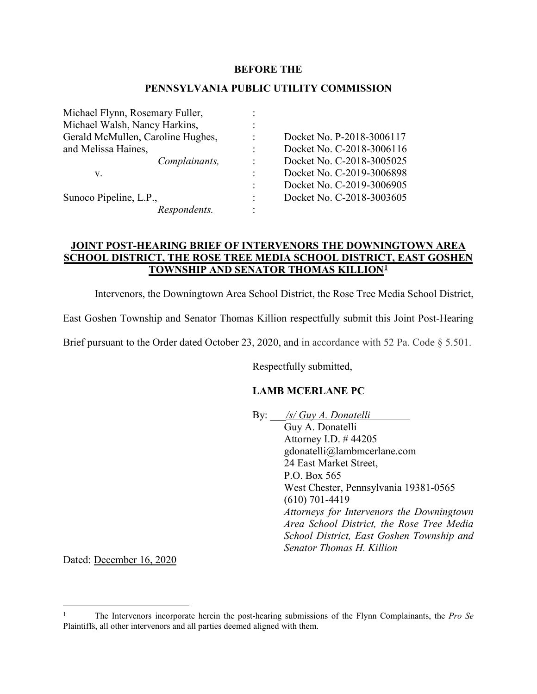#### **BEFORE THE**

#### **PENNSYLVANIA PUBLIC UTILITY COMMISSION**

| Michael Flynn, Rosemary Fuller,   |                |                           |
|-----------------------------------|----------------|---------------------------|
| Michael Walsh, Nancy Harkins,     |                |                           |
| Gerald McMullen, Caroline Hughes, | $\bullet$      | Docket No. P-2018-3006117 |
| and Melissa Haines,               |                | Docket No. C-2018-3006116 |
| Complainants,                     | $\ddot{\cdot}$ | Docket No. C-2018-3005025 |
| v.                                |                | Docket No. C-2019-3006898 |
|                                   | $\ddot{\cdot}$ | Docket No. C-2019-3006905 |
| Sunoco Pipeline, L.P.,            | $\ddot{\cdot}$ | Docket No. C-2018-3003605 |
| Respondents.                      |                |                           |
|                                   |                |                           |

## **JOINT POST-HEARING BRIEF OF INTERVENORS THE DOWNINGTOWN AREA SCHOOL DISTRICT, THE ROSE TREE MEDIA SCHOOL DISTRICT, EAST GOSHEN TOWNSHIP AND SENATOR THOMAS KILLION[1](#page-0-0)**

Intervenors, the Downingtown Area School District, the Rose Tree Media School District,

East Goshen Township and Senator Thomas Killion respectfully submit this Joint Post-Hearing

Brief pursuant to the Order dated October 23, 2020, and in accordance with 52 Pa. Code § 5.501.

Respectfully submitted,

## **LAMB MCERLANE PC**

By: \_\_\_*/s/ Guy A. Donatelli* Guy A. Donatelli

Attorney I.D. # 44205 gdonatelli@lambmcerlane.com 24 East Market Street, P.O. Box 565 West Chester, Pennsylvania 19381-0565 (610) 701-4419 *Attorneys for Intervenors the Downingtown Area School District, the Rose Tree Media School District, East Goshen Township and Senator Thomas H. Killion*

Dated: December 16, 2020

<span id="page-0-0"></span> <sup>1</sup> The Intervenors incorporate herein the post-hearing submissions of the Flynn Complainants, the *Pro Se* Plaintiffs, all other intervenors and all parties deemed aligned with them.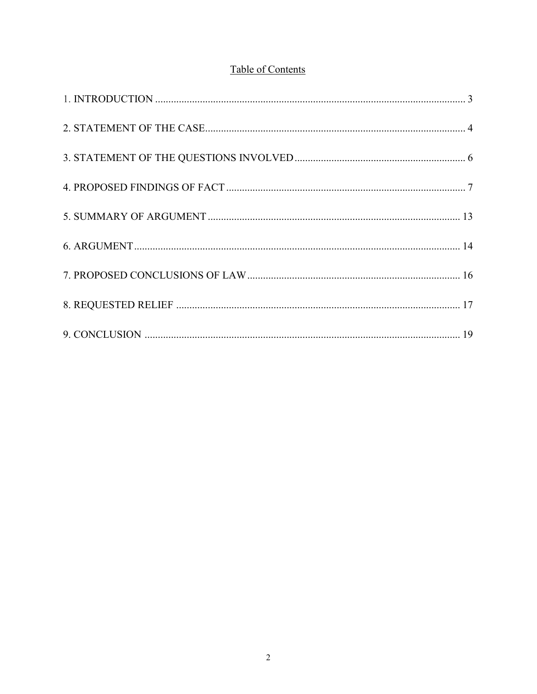# Table of Contents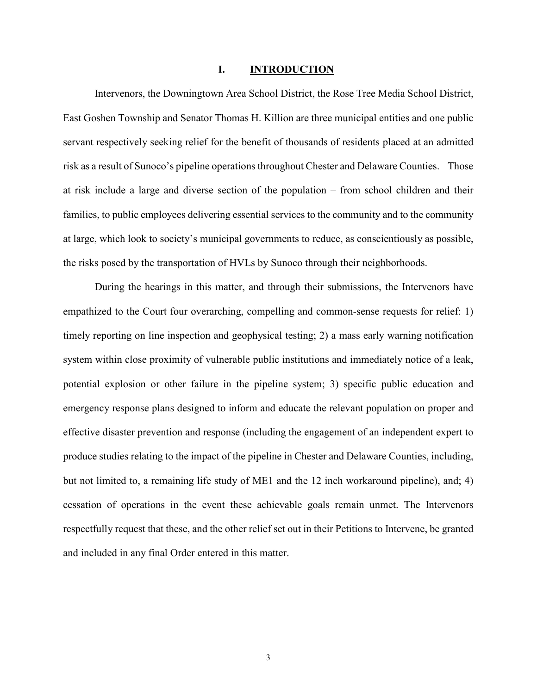#### **I. INTRODUCTION**

Intervenors, the Downingtown Area School District, the Rose Tree Media School District, East Goshen Township and Senator Thomas H. Killion are three municipal entities and one public servant respectively seeking relief for the benefit of thousands of residents placed at an admitted risk as a result of Sunoco's pipeline operations throughout Chester and Delaware Counties. Those at risk include a large and diverse section of the population – from school children and their families, to public employees delivering essential services to the community and to the community at large, which look to society's municipal governments to reduce, as conscientiously as possible, the risks posed by the transportation of HVLs by Sunoco through their neighborhoods.

During the hearings in this matter, and through their submissions, the Intervenors have empathized to the Court four overarching, compelling and common-sense requests for relief: 1) timely reporting on line inspection and geophysical testing; 2) a mass early warning notification system within close proximity of vulnerable public institutions and immediately notice of a leak, potential explosion or other failure in the pipeline system; 3) specific public education and emergency response plans designed to inform and educate the relevant population on proper and effective disaster prevention and response (including the engagement of an independent expert to produce studies relating to the impact of the pipeline in Chester and Delaware Counties, including, but not limited to, a remaining life study of ME1 and the 12 inch workaround pipeline), and; 4) cessation of operations in the event these achievable goals remain unmet. The Intervenors respectfully request that these, and the other relief set out in their Petitions to Intervene, be granted and included in any final Order entered in this matter.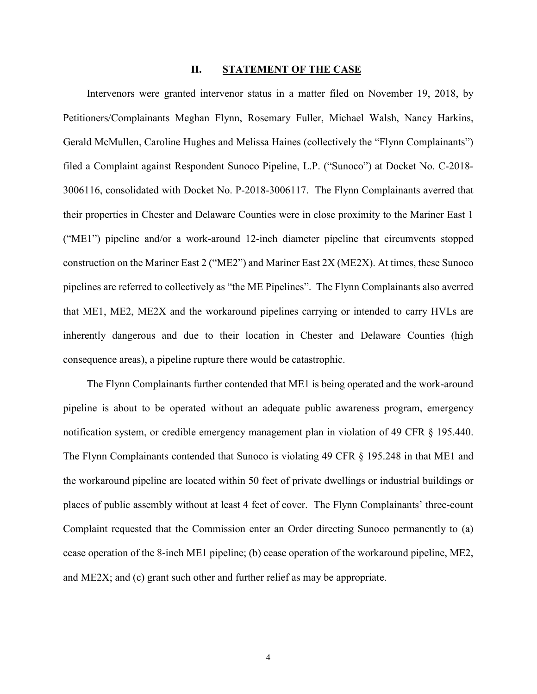#### **II. STATEMENT OF THE CASE**

 Intervenors were granted intervenor status in a matter filed on November 19, 2018, by Petitioners/Complainants Meghan Flynn, Rosemary Fuller, Michael Walsh, Nancy Harkins, Gerald McMullen, Caroline Hughes and Melissa Haines (collectively the "Flynn Complainants") filed a Complaint against Respondent Sunoco Pipeline, L.P. ("Sunoco") at Docket No. C-2018- 3006116, consolidated with Docket No. P-2018-3006117. The Flynn Complainants averred that their properties in Chester and Delaware Counties were in close proximity to the Mariner East 1 ("ME1") pipeline and/or a work-around 12-inch diameter pipeline that circumvents stopped construction on the Mariner East 2 ("ME2") and Mariner East 2X (ME2X). At times, these Sunoco pipelines are referred to collectively as "the ME Pipelines". The Flynn Complainants also averred that ME1, ME2, ME2X and the workaround pipelines carrying or intended to carry HVLs are inherently dangerous and due to their location in Chester and Delaware Counties (high consequence areas), a pipeline rupture there would be catastrophic.

 The Flynn Complainants further contended that ME1 is being operated and the work-around pipeline is about to be operated without an adequate public awareness program, emergency notification system, or credible emergency management plan in violation of 49 CFR § 195.440. The Flynn Complainants contended that Sunoco is violating 49 CFR § 195.248 in that ME1 and the workaround pipeline are located within 50 feet of private dwellings or industrial buildings or places of public assembly without at least 4 feet of cover. The Flynn Complainants' three-count Complaint requested that the Commission enter an Order directing Sunoco permanently to (a) cease operation of the 8-inch ME1 pipeline; (b) cease operation of the workaround pipeline, ME2, and ME2X; and (c) grant such other and further relief as may be appropriate.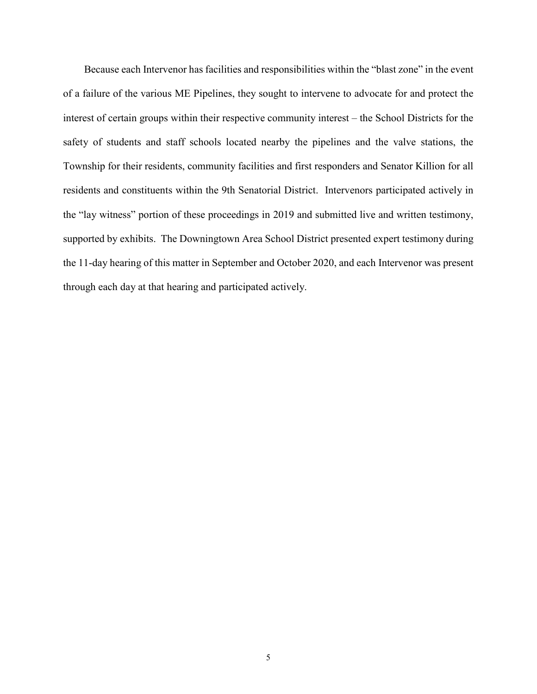Because each Intervenor has facilities and responsibilities within the "blast zone" in the event of a failure of the various ME Pipelines, they sought to intervene to advocate for and protect the interest of certain groups within their respective community interest – the School Districts for the safety of students and staff schools located nearby the pipelines and the valve stations, the Township for their residents, community facilities and first responders and Senator Killion for all residents and constituents within the 9th Senatorial District. Intervenors participated actively in the "lay witness" portion of these proceedings in 2019 and submitted live and written testimony, supported by exhibits. The Downingtown Area School District presented expert testimony during the 11-day hearing of this matter in September and October 2020, and each Intervenor was present through each day at that hearing and participated actively.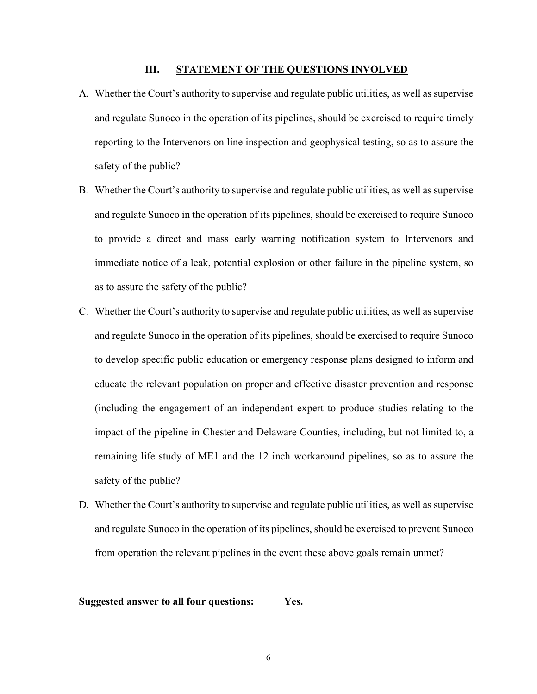#### **III. STATEMENT OF THE QUESTIONS INVOLVED**

- A. Whether the Court's authority to supervise and regulate public utilities, as well as supervise and regulate Sunoco in the operation of its pipelines, should be exercised to require timely reporting to the Intervenors on line inspection and geophysical testing, so as to assure the safety of the public?
- B. Whether the Court's authority to supervise and regulate public utilities, as well as supervise and regulate Sunoco in the operation of its pipelines, should be exercised to require Sunoco to provide a direct and mass early warning notification system to Intervenors and immediate notice of a leak, potential explosion or other failure in the pipeline system, so as to assure the safety of the public?
- C. Whether the Court's authority to supervise and regulate public utilities, as well as supervise and regulate Sunoco in the operation of its pipelines, should be exercised to require Sunoco to develop specific public education or emergency response plans designed to inform and educate the relevant population on proper and effective disaster prevention and response (including the engagement of an independent expert to produce studies relating to the impact of the pipeline in Chester and Delaware Counties, including, but not limited to, a remaining life study of ME1 and the 12 inch workaround pipelines, so as to assure the safety of the public?
- D. Whether the Court's authority to supervise and regulate public utilities, as well as supervise and regulate Sunoco in the operation of its pipelines, should be exercised to prevent Sunoco from operation the relevant pipelines in the event these above goals remain unmet?

#### **Suggested answer to all four questions: Yes.**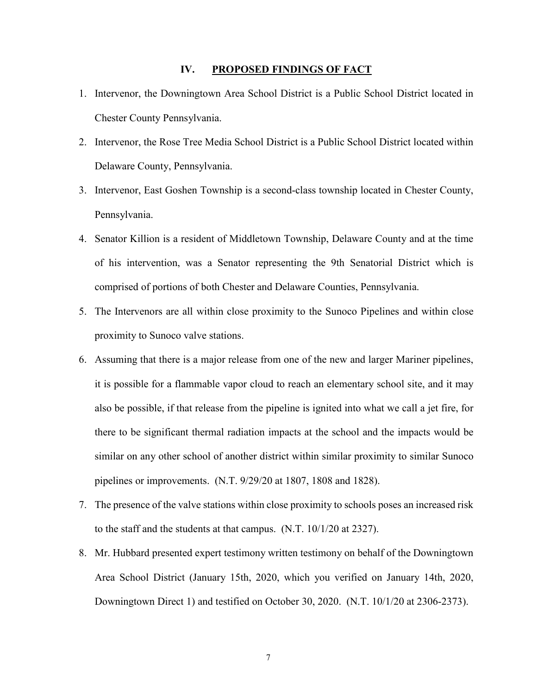#### **IV. PROPOSED FINDINGS OF FACT**

- 1. Intervenor, the Downingtown Area School District is a Public School District located in Chester County Pennsylvania.
- 2. Intervenor, the Rose Tree Media School District is a Public School District located within Delaware County, Pennsylvania.
- 3. Intervenor, East Goshen Township is a second-class township located in Chester County, Pennsylvania.
- 4. Senator Killion is a resident of Middletown Township, Delaware County and at the time of his intervention, was a Senator representing the 9th Senatorial District which is comprised of portions of both Chester and Delaware Counties, Pennsylvania.
- 5. The Intervenors are all within close proximity to the Sunoco Pipelines and within close proximity to Sunoco valve stations.
- 6. Assuming that there is a major release from one of the new and larger Mariner pipelines, it is possible for a flammable vapor cloud to reach an elementary school site, and it may also be possible, if that release from the pipeline is ignited into what we call a jet fire, for there to be significant thermal radiation impacts at the school and the impacts would be similar on any other school of another district within similar proximity to similar Sunoco pipelines or improvements. (N.T. 9/29/20 at 1807, 1808 and 1828).
- 7. The presence of the valve stations within close proximity to schools poses an increased risk to the staff and the students at that campus. (N.T. 10/1/20 at 2327).
- 8. Mr. Hubbard presented expert testimony written testimony on behalf of the Downingtown Area School District (January 15th, 2020, which you verified on January 14th, 2020, Downingtown Direct 1) and testified on October 30, 2020. (N.T. 10/1/20 at 2306-2373).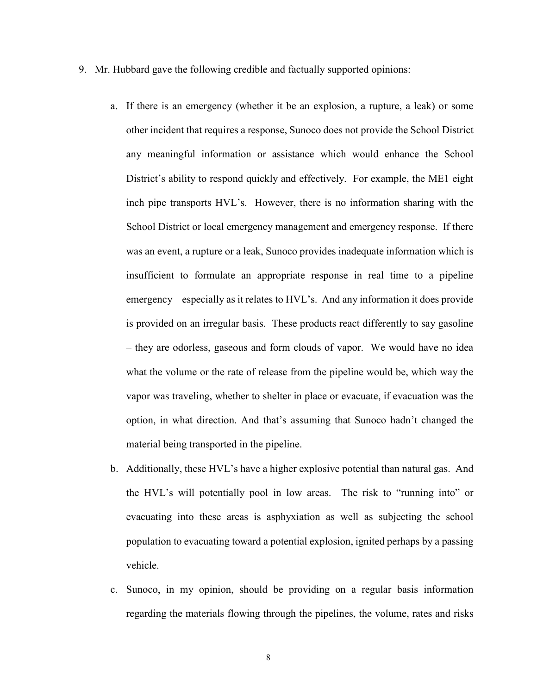- 9. Mr. Hubbard gave the following credible and factually supported opinions:
	- a. If there is an emergency (whether it be an explosion, a rupture, a leak) or some other incident that requires a response, Sunoco does not provide the School District any meaningful information or assistance which would enhance the School District's ability to respond quickly and effectively. For example, the ME1 eight inch pipe transports HVL's. However, there is no information sharing with the School District or local emergency management and emergency response. If there was an event, a rupture or a leak, Sunoco provides inadequate information which is insufficient to formulate an appropriate response in real time to a pipeline emergency – especially as it relates to HVL's. And any information it does provide is provided on an irregular basis. These products react differently to say gasoline – they are odorless, gaseous and form clouds of vapor. We would have no idea what the volume or the rate of release from the pipeline would be, which way the vapor was traveling, whether to shelter in place or evacuate, if evacuation was the option, in what direction. And that's assuming that Sunoco hadn't changed the material being transported in the pipeline.
	- b. Additionally, these HVL's have a higher explosive potential than natural gas. And the HVL's will potentially pool in low areas. The risk to "running into" or evacuating into these areas is asphyxiation as well as subjecting the school population to evacuating toward a potential explosion, ignited perhaps by a passing vehicle.
	- c. Sunoco, in my opinion, should be providing on a regular basis information regarding the materials flowing through the pipelines, the volume, rates and risks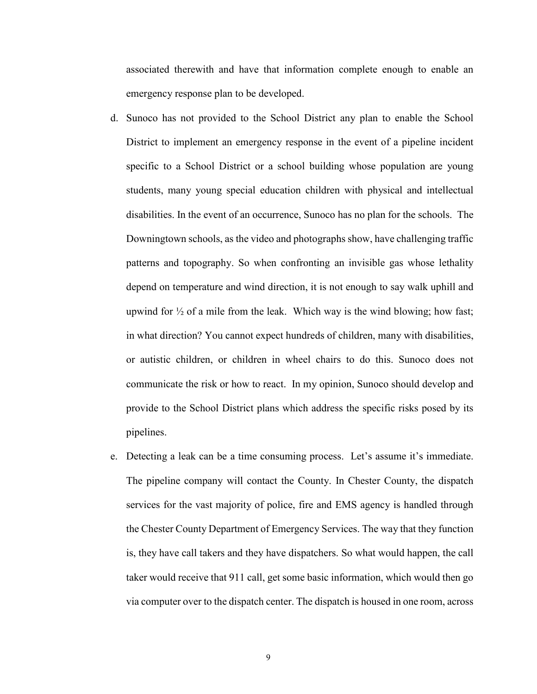associated therewith and have that information complete enough to enable an emergency response plan to be developed.

- d. Sunoco has not provided to the School District any plan to enable the School District to implement an emergency response in the event of a pipeline incident specific to a School District or a school building whose population are young students, many young special education children with physical and intellectual disabilities. In the event of an occurrence, Sunoco has no plan for the schools. The Downingtown schools, as the video and photographs show, have challenging traffic patterns and topography. So when confronting an invisible gas whose lethality depend on temperature and wind direction, it is not enough to say walk uphill and upwind for  $\frac{1}{2}$  of a mile from the leak. Which way is the wind blowing; how fast; in what direction? You cannot expect hundreds of children, many with disabilities, or autistic children, or children in wheel chairs to do this. Sunoco does not communicate the risk or how to react. In my opinion, Sunoco should develop and provide to the School District plans which address the specific risks posed by its pipelines.
- e. Detecting a leak can be a time consuming process. Let's assume it's immediate. The pipeline company will contact the County. In Chester County, the dispatch services for the vast majority of police, fire and EMS agency is handled through the Chester County Department of Emergency Services. The way that they function is, they have call takers and they have dispatchers. So what would happen, the call taker would receive that 911 call, get some basic information, which would then go via computer over to the dispatch center. The dispatch is housed in one room, across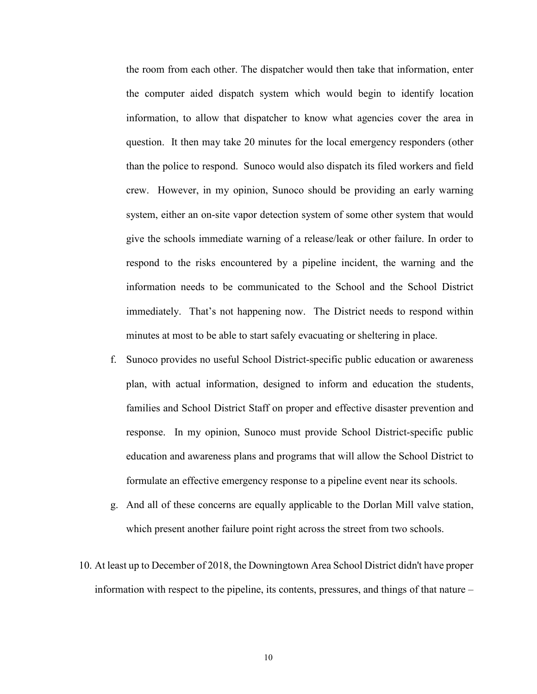the room from each other. The dispatcher would then take that information, enter the computer aided dispatch system which would begin to identify location information, to allow that dispatcher to know what agencies cover the area in question. It then may take 20 minutes for the local emergency responders (other than the police to respond. Sunoco would also dispatch its filed workers and field crew. However, in my opinion, Sunoco should be providing an early warning system, either an on-site vapor detection system of some other system that would give the schools immediate warning of a release/leak or other failure. In order to respond to the risks encountered by a pipeline incident, the warning and the information needs to be communicated to the School and the School District immediately. That's not happening now. The District needs to respond within minutes at most to be able to start safely evacuating or sheltering in place.

- f. Sunoco provides no useful School District-specific public education or awareness plan, with actual information, designed to inform and education the students, families and School District Staff on proper and effective disaster prevention and response. In my opinion, Sunoco must provide School District-specific public education and awareness plans and programs that will allow the School District to formulate an effective emergency response to a pipeline event near its schools.
- g. And all of these concerns are equally applicable to the Dorlan Mill valve station, which present another failure point right across the street from two schools.
- 10. At least up to December of 2018, the Downingtown Area School District didn't have proper information with respect to the pipeline, its contents, pressures, and things of that nature –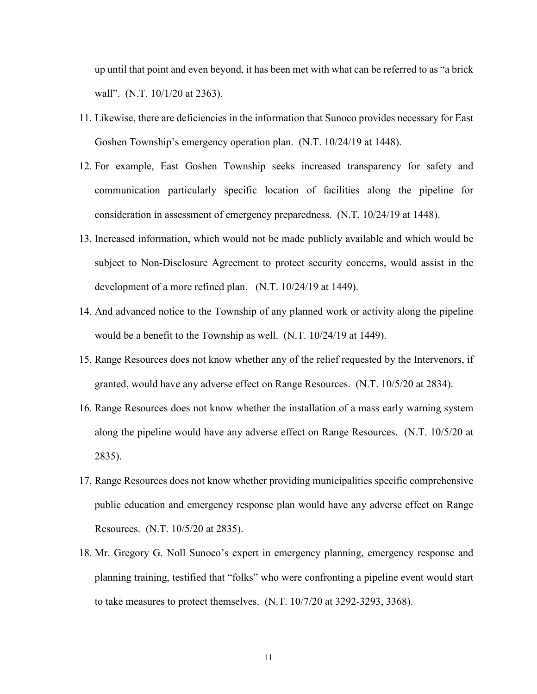up until that point and even beyond, it has been met with what can be referred to as "a brick wall". (N.T. 10/1/20 at 2363).

- 11. Likewise, there are deficiencies in the information that Sunoco provides necessary for East Goshen Township's emergency operation plan. (N.T. 10/24/19 at 1448).
- 12. For example, East Goshen Township seeks increased transparency for safety and communication particularly specific location of facilities along the pipeline for consideration in assessment of emergency preparedness. (N.T. 10/24/19 at 1448).
- 13. Increased information, which would not be made publicly available and which would be subject to Non-Disclosure Agreement to protect security concerns, would assist in the development of a more refined plan. (N.T. 10/24/19 at 1449).
- 14. And advanced notice to the Township of any planned work or activity along the pipeline would be a benefit to the Township as well. (N.T. 10/24/19 at 1449).
- 15. Range Resources does not know whether any of the relief requested by the Intervenors, if granted, would have any adverse effect on Range Resources. (N.T. 10/5/20 at 2834).
- 16. Range Resources does not know whether the installation of a mass early warning system along the pipeline would have any adverse effect on Range Resources. (N.T. 10/5/20 at 2835).
- 17. Range Resources does not know whether providing municipalities specific comprehensive public education and emergency response plan would have any adverse effect on Range Resources. (N.T. 10/5/20 at 2835).
- 18. Mr. Gregory G. Noll Sunoco's expert in emergency planning, emergency response and planning training, testified that "folks" who were confronting a pipeline event would start to take measures to protect themselves. (N.T. 10/7/20 at 3292-3293, 3368).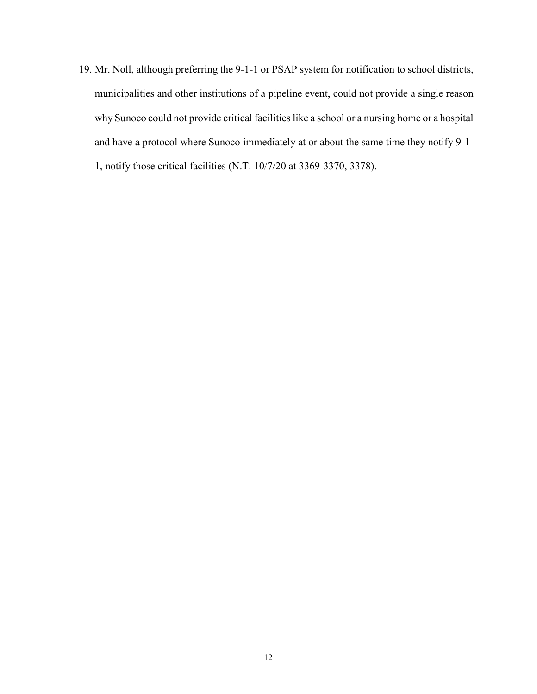19. Mr. Noll, although preferring the 9-1-1 or PSAP system for notification to school districts, municipalities and other institutions of a pipeline event, could not provide a single reason why Sunoco could not provide critical facilities like a school or a nursing home or a hospital and have a protocol where Sunoco immediately at or about the same time they notify 9-1- 1, notify those critical facilities (N.T. 10/7/20 at 3369-3370, 3378).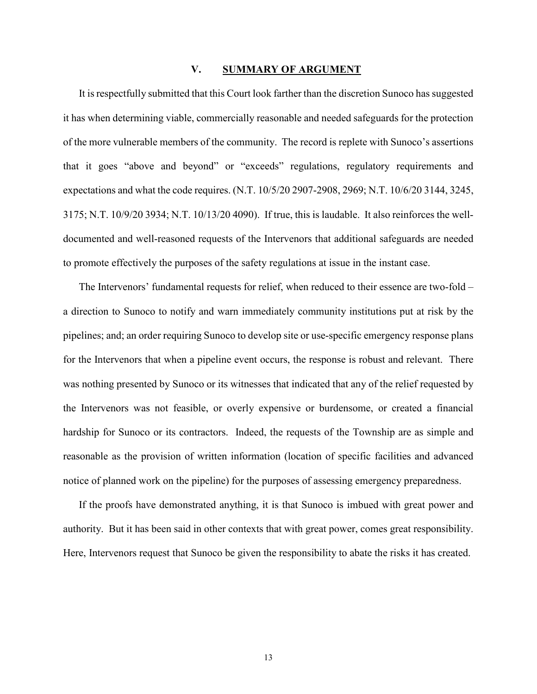### **V. SUMMARY OF ARGUMENT**

It is respectfully submitted that this Court look farther than the discretion Sunoco has suggested it has when determining viable, commercially reasonable and needed safeguards for the protection of the more vulnerable members of the community. The record is replete with Sunoco's assertions that it goes "above and beyond" or "exceeds" regulations, regulatory requirements and expectations and what the code requires. (N.T. 10/5/20 2907-2908, 2969; N.T. 10/6/20 3144, 3245, 3175; N.T. 10/9/20 3934; N.T. 10/13/20 4090). If true, this is laudable. It also reinforces the welldocumented and well-reasoned requests of the Intervenors that additional safeguards are needed to promote effectively the purposes of the safety regulations at issue in the instant case.

The Intervenors' fundamental requests for relief, when reduced to their essence are two-fold – a direction to Sunoco to notify and warn immediately community institutions put at risk by the pipelines; and; an order requiring Sunoco to develop site or use-specific emergency response plans for the Intervenors that when a pipeline event occurs, the response is robust and relevant. There was nothing presented by Sunoco or its witnesses that indicated that any of the relief requested by the Intervenors was not feasible, or overly expensive or burdensome, or created a financial hardship for Sunoco or its contractors. Indeed, the requests of the Township are as simple and reasonable as the provision of written information (location of specific facilities and advanced notice of planned work on the pipeline) for the purposes of assessing emergency preparedness.

If the proofs have demonstrated anything, it is that Sunoco is imbued with great power and authority. But it has been said in other contexts that with great power, comes great responsibility. Here, Intervenors request that Sunoco be given the responsibility to abate the risks it has created.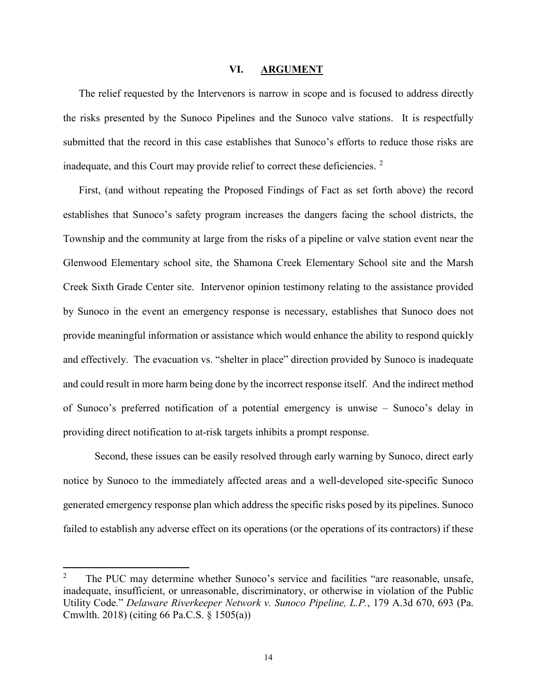#### **VI. ARGUMENT**

The relief requested by the Intervenors is narrow in scope and is focused to address directly the risks presented by the Sunoco Pipelines and the Sunoco valve stations. It is respectfully submitted that the record in this case establishes that Sunoco's efforts to reduce those risks are inadequate, and this Court may provide relief to correct these deficiencies.  $2$ 

First, (and without repeating the Proposed Findings of Fact as set forth above) the record establishes that Sunoco's safety program increases the dangers facing the school districts, the Township and the community at large from the risks of a pipeline or valve station event near the Glenwood Elementary school site, the Shamona Creek Elementary School site and the Marsh Creek Sixth Grade Center site. Intervenor opinion testimony relating to the assistance provided by Sunoco in the event an emergency response is necessary, establishes that Sunoco does not provide meaningful information or assistance which would enhance the ability to respond quickly and effectively. The evacuation vs. "shelter in place" direction provided by Sunoco is inadequate and could result in more harm being done by the incorrect response itself. And the indirect method of Sunoco's preferred notification of a potential emergency is unwise – Sunoco's delay in providing direct notification to at-risk targets inhibits a prompt response.

Second, these issues can be easily resolved through early warning by Sunoco, direct early notice by Sunoco to the immediately affected areas and a well-developed site-specific Sunoco generated emergency response plan which address the specific risks posed by its pipelines. Sunoco failed to establish any adverse effect on its operations (or the operations of its contractors) if these

<span id="page-13-0"></span> $\overline{2}$  The PUC may determine whether Sunoco's service and facilities "are reasonable, unsafe, inadequate, insufficient, or unreasonable, discriminatory, or otherwise in violation of the Public Utility Code." *Delaware Riverkeeper Network v. Sunoco Pipeline, L.P.*, 179 A.3d 670, 693 (Pa. Cmwlth. 2018) (citing 66 Pa.C.S. § 1505(a))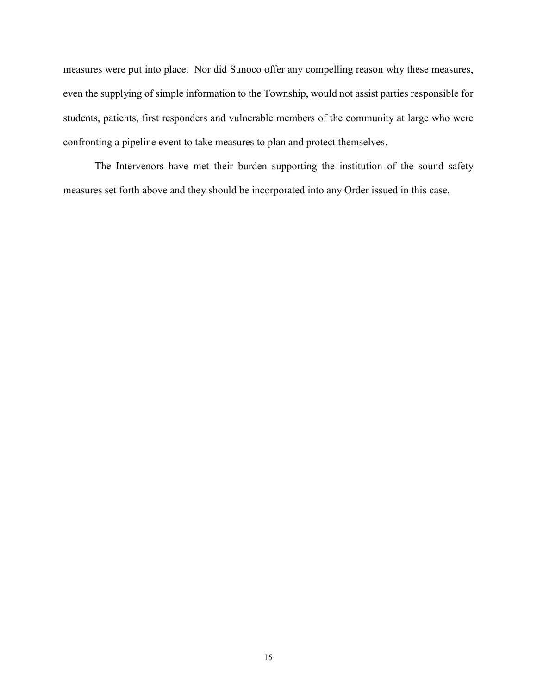measures were put into place. Nor did Sunoco offer any compelling reason why these measures, even the supplying of simple information to the Township, would not assist parties responsible for students, patients, first responders and vulnerable members of the community at large who were confronting a pipeline event to take measures to plan and protect themselves.

The Intervenors have met their burden supporting the institution of the sound safety measures set forth above and they should be incorporated into any Order issued in this case.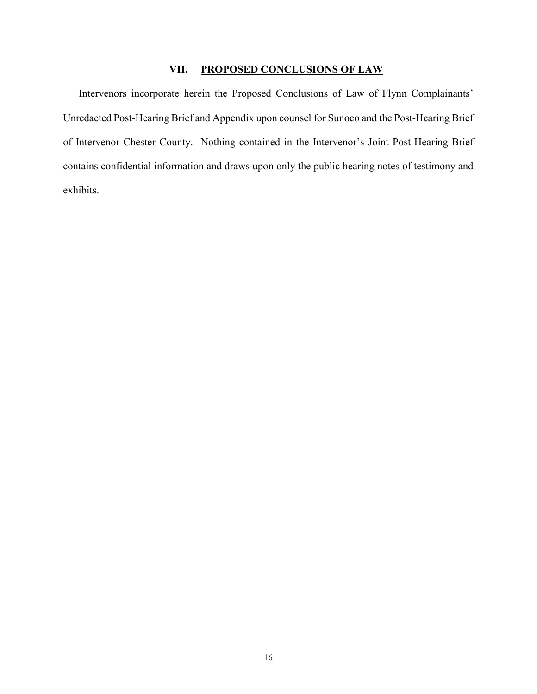## **VII. PROPOSED CONCLUSIONS OF LAW**

Intervenors incorporate herein the Proposed Conclusions of Law of Flynn Complainants' Unredacted Post-Hearing Brief and Appendix upon counsel for Sunoco and the Post-Hearing Brief of Intervenor Chester County. Nothing contained in the Intervenor's Joint Post-Hearing Brief contains confidential information and draws upon only the public hearing notes of testimony and exhibits.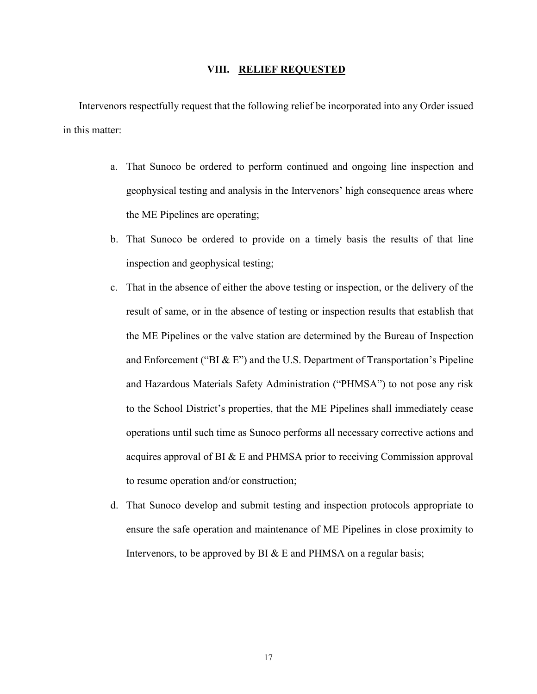### **VIII. RELIEF REQUESTED**

Intervenors respectfully request that the following relief be incorporated into any Order issued in this matter:

- a. That Sunoco be ordered to perform continued and ongoing line inspection and geophysical testing and analysis in the Intervenors' high consequence areas where the ME Pipelines are operating;
- b. That Sunoco be ordered to provide on a timely basis the results of that line inspection and geophysical testing;
- c. That in the absence of either the above testing or inspection, or the delivery of the result of same, or in the absence of testing or inspection results that establish that the ME Pipelines or the valve station are determined by the Bureau of Inspection and Enforcement ("BI  $\&$  E") and the U.S. Department of Transportation's Pipeline and Hazardous Materials Safety Administration ("PHMSA") to not pose any risk to the School District's properties, that the ME Pipelines shall immediately cease operations until such time as Sunoco performs all necessary corrective actions and acquires approval of BI & E and PHMSA prior to receiving Commission approval to resume operation and/or construction;
- d. That Sunoco develop and submit testing and inspection protocols appropriate to ensure the safe operation and maintenance of ME Pipelines in close proximity to Intervenors, to be approved by BI & E and PHMSA on a regular basis;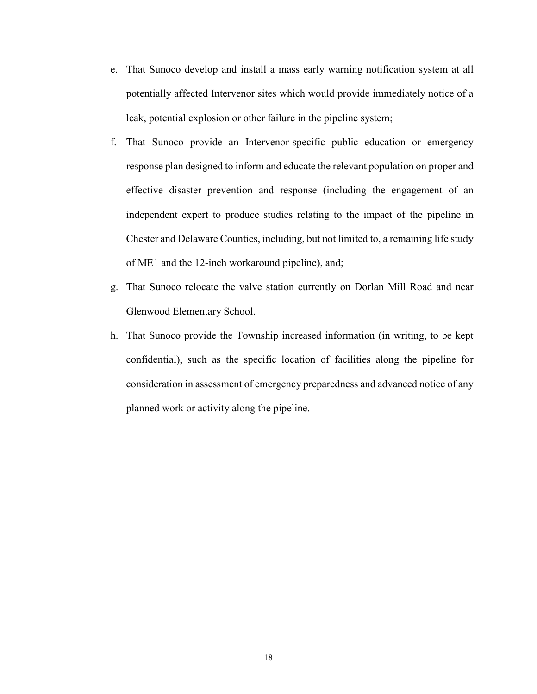- e. That Sunoco develop and install a mass early warning notification system at all potentially affected Intervenor sites which would provide immediately notice of a leak, potential explosion or other failure in the pipeline system;
- f. That Sunoco provide an Intervenor-specific public education or emergency response plan designed to inform and educate the relevant population on proper and effective disaster prevention and response (including the engagement of an independent expert to produce studies relating to the impact of the pipeline in Chester and Delaware Counties, including, but not limited to, a remaining life study of ME1 and the 12-inch workaround pipeline), and;
- g. That Sunoco relocate the valve station currently on Dorlan Mill Road and near Glenwood Elementary School.
- h. That Sunoco provide the Township increased information (in writing, to be kept confidential), such as the specific location of facilities along the pipeline for consideration in assessment of emergency preparedness and advanced notice of any planned work or activity along the pipeline.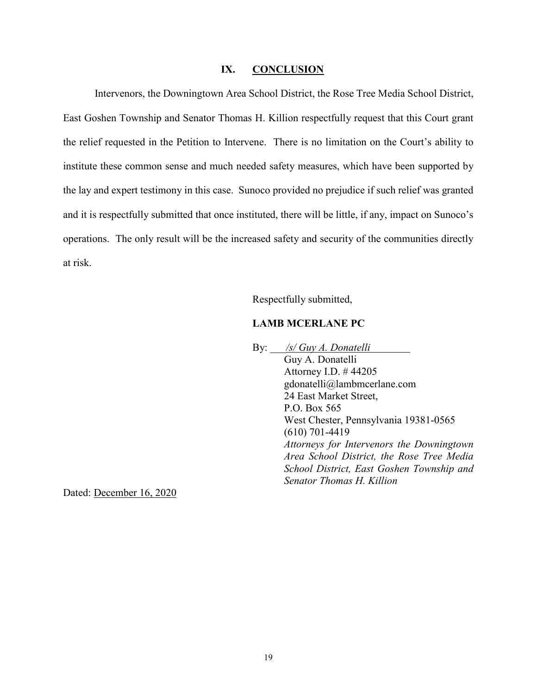#### **IX. CONCLUSION**

Intervenors, the Downingtown Area School District, the Rose Tree Media School District, East Goshen Township and Senator Thomas H. Killion respectfully request that this Court grant the relief requested in the Petition to Intervene. There is no limitation on the Court's ability to institute these common sense and much needed safety measures, which have been supported by the lay and expert testimony in this case. Sunoco provided no prejudice if such relief was granted and it is respectfully submitted that once instituted, there will be little, if any, impact on Sunoco's operations. The only result will be the increased safety and security of the communities directly at risk.

Respectfully submitted,

## **LAMB MCERLANE PC**

By: \_\_\_*/s/ Guy A. Donatelli* Guy A. Donatelli Attorney I.D. # 44205 gdonatelli@lambmcerlane.com 24 East Market Street, P.O. Box 565 West Chester, Pennsylvania 19381-0565 (610) 701-4419 *Attorneys for Intervenors the Downingtown Area School District, the Rose Tree Media School District, East Goshen Township and Senator Thomas H. Killion*

Dated: December 16, 2020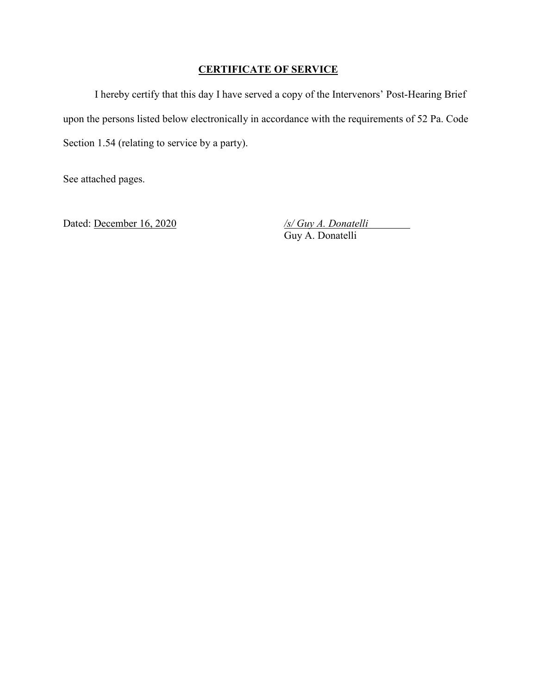## **CERTIFICATE OF SERVICE**

I hereby certify that this day I have served a copy of the Intervenors' Post-Hearing Brief upon the persons listed below electronically in accordance with the requirements of 52 Pa. Code Section 1.54 (relating to service by a party).

See attached pages.

Dated: <u>December 16, 2020</u> */s/ Guy A. Donatelli* Guy A. Donatelli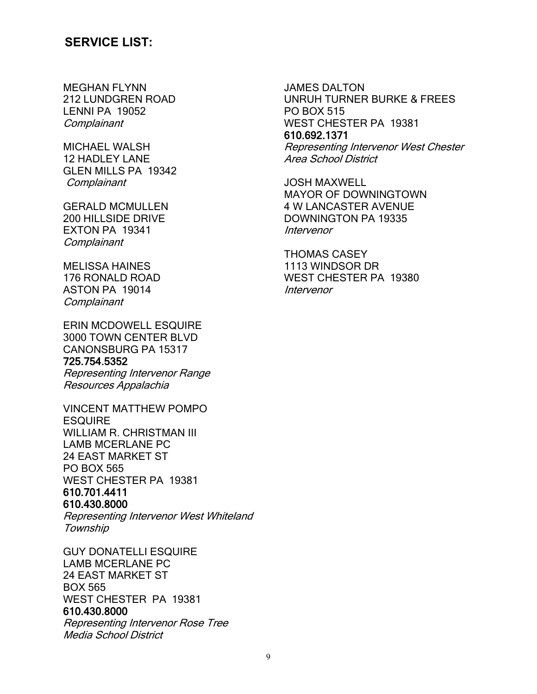# **SERVICE LIST:**

MEGHAN FLYNN 212 LUNDGREN ROAD LENNI PA 19052 **Complainant** 

MICHAEL WALSH 12 HADLEY LANE GLEN MILLS PA 19342 **Complainant** 

GERALD MCMULLEN 200 HILLSIDE DRIVE EXTON PA 19341 **Complainant** 

MELISSA HAINES 176 RONALD ROAD ASTON PA 19014 **Complainant** 

ERIN MCDOWELL ESQUIRE 3000 TOWN CENTER BLVD CANONSBURG PA 15317 725.754.5352

Representing Intervenor Range Resources Appalachia

VINCENT MATTHEW POMPO **ESQUIRE** WILLIAM R. CHRISTMAN III LAMB MCERLANE PC 24 EAST MARKET ST PO BOX 565 WEST CHESTER PA 19381 610.701.4411 610.430.8000

Representing Intervenor West Whiteland Township

GUY DONATELLI ESQUIRE LAMB MCERLANE PC 24 EAST MARKET ST BOX 565 WEST CHESTER PA 19381 610.430.8000 Representing Intervenor Rose Tree Media School District

JAMES DALTON UNRUH TURNER BURKE & FREES PO BOX 515 WEST CHESTER PA 19381 610.692.1371 Representing Intervenor West Chester Area School District

JOSH MAXWELL MAYOR OF DOWNINGTOWN 4 W LANCASTER AVENUE DOWNINGTON PA 19335 Intervenor

THOMAS CASEY 1113 WINDSOR DR WEST CHESTER PA 19380 Intervenor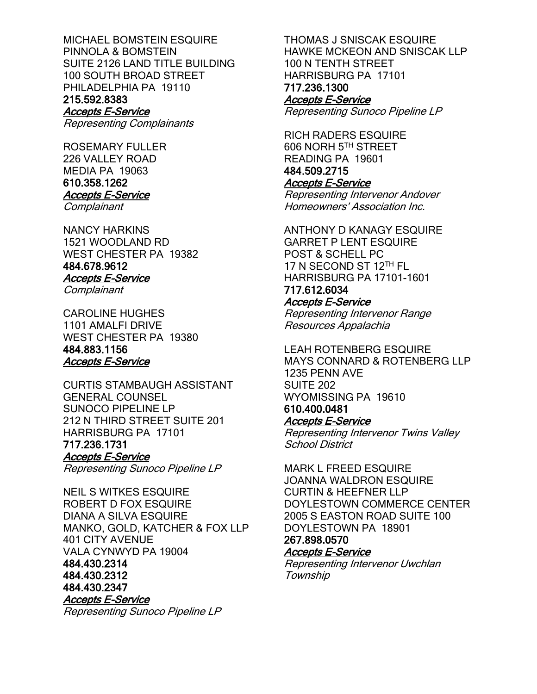MICHAEL BOMSTEIN ESQUIRE PINNOLA & BOMSTEIN SUITE 2126 LAND TITLE BUILDING 100 SOUTH BROAD STREET PHILADELPHIA PA 19110 215.592.8383 Accepts E-Service

Representing Complainants

ROSEMARY FULLER 226 VALLEY ROAD MEDIA PA 19063 610.358.1262 Accepts E-Service **Complainant** 

NANCY HARKINS 1521 WOODLAND RD WEST CHESTER PA 19382 484.678.9612 Accepts E-Service

**Complainant** 

CAROLINE HUGHES 1101 AMALFI DRIVE WEST CHESTER PA 19380 484.883.1156 Accepts E-Service

CURTIS STAMBAUGH ASSISTANT GENERAL COUNSEL SUNOCO PIPELINE LP 212 N THIRD STREET SUITE 201 HARRISBURG PA 17101 717.236.1731 Accepts E-Service Representing Sunoco Pipeline LP

NEIL S WITKES ESQUIRE ROBERT D FOX ESQUIRE DIANA A SILVA ESQUIRE MANKO, GOLD, KATCHER & FOX LLP 401 CITY AVENUE VALA CYNWYD PA 19004 484.430.2314 484.430.2312 484.430.2347 Accepts E-Service Representing Sunoco Pipeline LP

THOMAS J SNISCAK ESQUIRE HAWKE MCKEON AND SNISCAK LLP 100 N TENTH STREET HARRISBURG PA 17101 717.236.1300 Accepts E-Service Representing Sunoco Pipeline LP

RICH RADERS ESQUIRE 606 NORH 5TH STREET READING PA 19601 484.509.2715 Accepts E-Service Representing Intervenor Andover Homeowners' Association Inc.

ANTHONY D KANAGY ESQUIRE GARRET P LENT ESQUIRE POST & SCHELL PC 17 N SECOND ST 12TH FL HARRISBURG PA 17101-1601 717.612.6034

## Accepts E-Service

Representing Intervenor Range Resources Appalachia

LEAH ROTENBERG ESQUIRE MAYS CONNARD & ROTENBERG LLP 1235 PENN AVE SUITE 202 WYOMISSING PA 19610 610.400.0481 Accepts E-Service

Representing Intervenor Twins Valley School District

MARK L FREED ESQUIRE JOANNA WALDRON ESQUIRE CURTIN & HEEFNER LLP DOYLESTOWN COMMERCE CENTER 2005 S EASTON ROAD SUITE 100 DOYLESTOWN PA 18901 267.898.0570 Accepts E-Service

Representing Intervenor Uwchlan **Township**